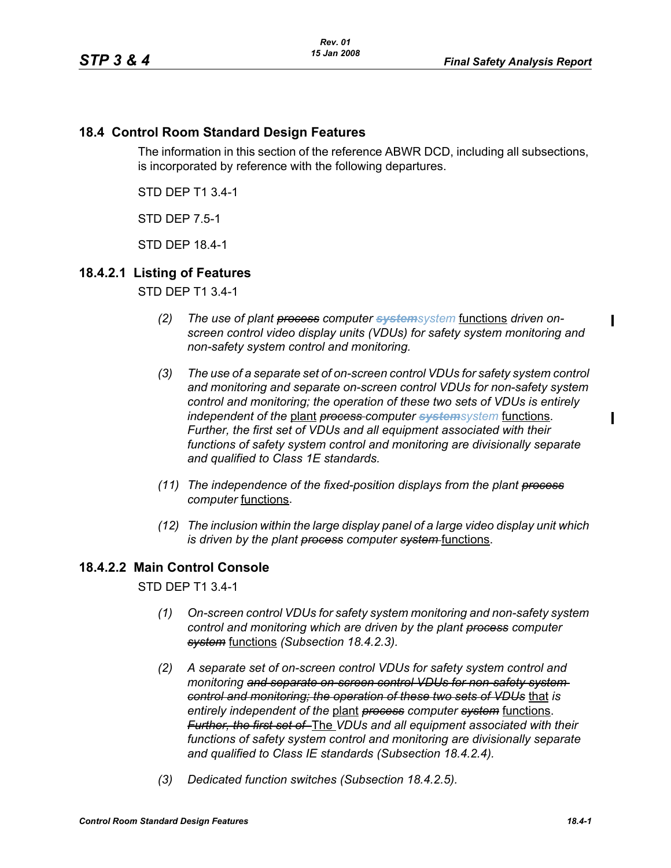# **18.4 Control Room Standard Design Features**

The information in this section of the reference ABWR DCD, including all subsections, is incorporated by reference with the following departures.

STD DEP T1 3.4-1

STD DEP 7.5-1

STD DEP 18.4-1

# **18.4.2.1 Listing of Features**

STD DEP T1 3.4-1

- *(2) The use of plant process computer systemsystem* functions *driven onscreen control video display units (VDUs) for safety system monitoring and non-safety system control and monitoring.*
- *(3) The use of a separate set of on-screen control VDUs for safety system control and monitoring and separate on-screen control VDUs for non-safety system control and monitoring; the operation of these two sets of VDUs is entirely independent of the* plant *process computer systemsystem* functions. *Further, the first set of VDUs and all equipment associated with their functions of safety system control and monitoring are divisionally separate and qualified to Class 1E standards.*
- *(11) The independence of the fixed-position displays from the plant process computer* functions.
- *(12) The inclusion within the large display panel of a large video display unit which is driven by the plant process computer system-functions.*

# **18.4.2.2 Main Control Console**

STD DEP T1 3.4-1

- *(1) On-screen control VDUs for safety system monitoring and non-safety system control and monitoring which are driven by the plant process computer system* functions *(Subsection 18.4.2.3).*
- *(2) A separate set of on-screen control VDUs for safety system control and monitoring and separate on-screen control VDUs for non-safety system control and monitoring; the operation of these two sets of VDUs* that *is entirely independent of the* plant *process computer system* functions. *Further, the first set of* The *VDUs and all equipment associated with their functions of safety system control and monitoring are divisionally separate and qualified to Class IE standards (Subsection 18.4.2.4).*
- *(3) Dedicated function switches (Subsection 18.4.2.5).*

Π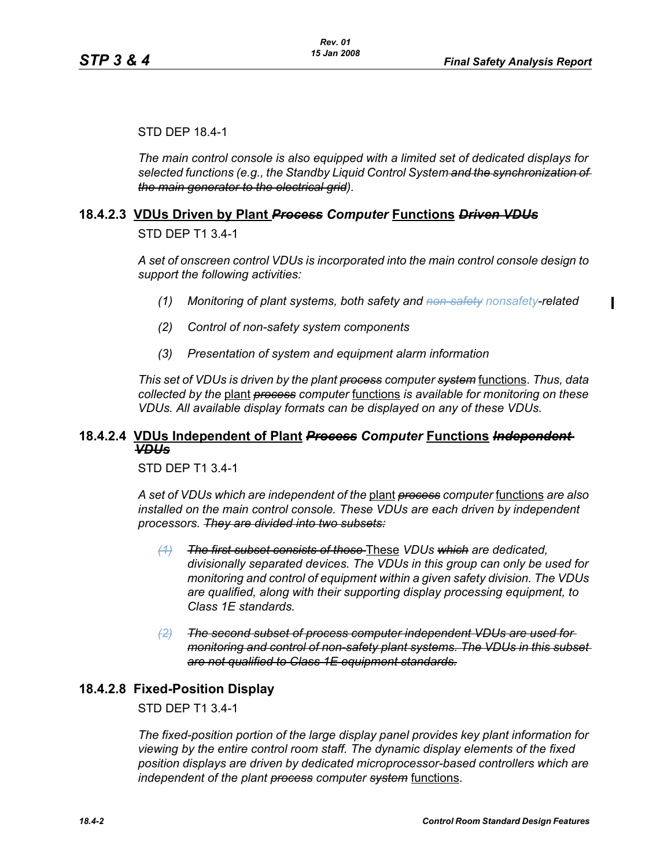#### STD DEP 18.4-1

*The main control console is also equipped with a limited set of dedicated displays for selected functions (e.g., the Standby Liquid Control System and the synchronization of the main generator to the electrical grid).*

### **18.4.2.3 VDUs Driven by Plant** *Process Computer* **Functions** *Driven VDUs*

STD DEP T1 3.4-1

*A set of onscreen control VDUs is incorporated into the main control console design to support the following activities:*

- *(1) Monitoring of plant systems, both safety and non-safety nonsafety-related*
- *(2) Control of non-safety system components*
- *(3) Presentation of system and equipment alarm information*

*This set of VDUs is driven by the plant process computer system* functions. *Thus, data collected by the* plant *process computer* functions *is available for monitoring on these VDUs. All available display formats can be displayed on any of these VDUs.*

## **18.4.2.4 VDUs Independent of Plant** *Process Computer* **Functions** *Independent VDUs*

STD DEP T1 3.4-1

*A set of VDUs which are independent of the* plant *process computer* functions *are also installed on the main control console. These VDUs are each driven by independent processors. They are divided into two subsets:*

- *(1) The first subset consists of those* These *VDUs which are dedicated, divisionally separated devices. The VDUs in this group can only be used for monitoring and control of equipment within a given safety division. The VDUs are qualified, along with their supporting display processing equipment, to Class 1E standards.*
- *(2) The second subset of process computer independent VDUs are used for monitoring and control of non-safety plant systems. The VDUs in this subset are not qualified to Class 1E equipment standards.*

### **18.4.2.8 Fixed-Position Display**

#### STD DEP T1 3.4-1

*The fixed-position portion of the large display panel provides key plant information for viewing by the entire control room staff. The dynamic display elements of the fixed position displays are driven by dedicated microprocessor-based controllers which are independent of the plant process computer system* functions.